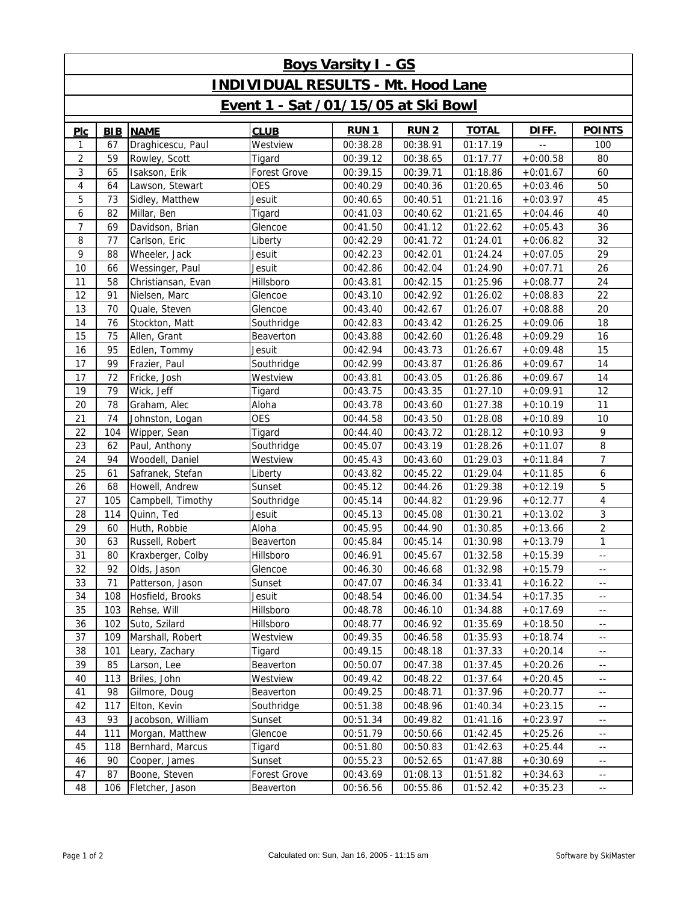| <b>Boys Varsity I - GS</b>                |            |                    |              |             |              |              |            |                          |  |  |  |  |
|-------------------------------------------|------------|--------------------|--------------|-------------|--------------|--------------|------------|--------------------------|--|--|--|--|
| <b>INDIVIDUAL RESULTS - Mt. Hood Lane</b> |            |                    |              |             |              |              |            |                          |  |  |  |  |
| Event 1 - Sat /01/15/05 at Ski Bowl       |            |                    |              |             |              |              |            |                          |  |  |  |  |
| PLC                                       | <b>BIB</b> | <b>NAME</b>        | <b>CLUB</b>  | <b>RUN1</b> | <b>RUN 2</b> | <b>TOTAL</b> | DIFF.      | <b>POINTS</b>            |  |  |  |  |
| 1                                         | 67         | Draghicescu, Paul  | Westview     | 00:38.28    | 00:38.91     | 01:17.19     |            | 100                      |  |  |  |  |
| $\overline{2}$                            | 59         | Rowley, Scott      | Tigard       | 00:39.12    | 00:38.65     | 01:17.77     | $+0:00.58$ | 80                       |  |  |  |  |
| 3                                         | 65         | Isakson, Erik      | Forest Grove | 00:39.15    | 00:39.71     | 01:18.86     | $+0:01.67$ | 60                       |  |  |  |  |
| 4                                         | 64         | Lawson, Stewart    | <b>OES</b>   | 00:40.29    | 00:40.36     | 01:20.65     | $+0:03.46$ | 50                       |  |  |  |  |
| 5                                         | 73         | Sidley, Matthew    | Jesuit       | 00:40.65    | 00:40.51     | 01:21.16     | $+0:03.97$ | 45                       |  |  |  |  |
| 6                                         | 82         | Millar, Ben        | Tigard       | 00:41.03    | 00:40.62     | 01:21.65     | $+0:04.46$ | 40                       |  |  |  |  |
| $\overline{7}$                            | 69         | Davidson, Brian    | Glencoe      | 00:41.50    | 00:41.12     | 01:22.62     | $+0:05.43$ | 36                       |  |  |  |  |
| 8                                         | 77         | Carlson, Eric      | Liberty      | 00:42.29    | 00:41.72     | 01:24.01     | $+0:06.82$ | 32                       |  |  |  |  |
| 9                                         | 88         | Wheeler, Jack      | Jesuit       | 00:42.23    | 00:42.01     | 01:24.24     | $+0:07.05$ | 29                       |  |  |  |  |
| 10                                        | 66         | Wessinger, Paul    | Jesuit       | 00:42.86    | 00:42.04     | 01:24.90     | $+0:07.71$ | 26                       |  |  |  |  |
| 11                                        | 58         | Christiansan, Evan | Hillsboro    | 00:43.81    | 00:42.15     | 01:25.96     | $+0:08.77$ | 24                       |  |  |  |  |
| 12                                        | 91         | Nielsen, Marc      | Glencoe      | 00:43.10    | 00:42.92     | 01:26.02     | $+0:08.83$ | 22                       |  |  |  |  |
| 13                                        | 70         | Quale, Steven      | Glencoe      | 00:43.40    | 00:42.67     | 01:26.07     | $+0:08.88$ | 20                       |  |  |  |  |
| 14                                        | 76         | Stockton, Matt     | Southridge   | 00:42.83    | 00:43.42     | 01:26.25     | $+0:09.06$ | 18                       |  |  |  |  |
| 15                                        | 75         | Allen, Grant       | Beaverton    | 00:43.88    | 00:42.60     | 01:26.48     | $+0:09.29$ | 16                       |  |  |  |  |
| 16                                        | 95         | Edlen, Tommy       | Jesuit       | 00:42.94    | 00:43.73     | 01:26.67     | $+0:09.48$ | 15                       |  |  |  |  |
| 17                                        | 99         | Frazier, Paul      | Southridge   | 00:42.99    | 00:43.87     | 01:26.86     | $+0:09.67$ | 14                       |  |  |  |  |
| 17                                        | 72         | Fricke, Josh       | Westview     | 00:43.81    | 00:43.05     | 01:26.86     | $+0:09.67$ | 14                       |  |  |  |  |
| 19                                        | 79         | Wick, Jeff         | Tigard       | 00:43.75    | 00:43.35     | 01:27.10     | $+0:09.91$ | 12                       |  |  |  |  |
| 20                                        | 78         | Graham, Alec       | Aloha        | 00:43.78    | 00:43.60     | 01:27.38     | $+0:10.19$ | 11                       |  |  |  |  |
| 21                                        | 74         | Johnston, Logan    | <b>OES</b>   | 00:44.58    | 00:43.50     | 01:28.08     | $+0:10.89$ | 10                       |  |  |  |  |
| 22                                        | 104        | Wipper, Sean       | Tigard       | 00:44.40    | 00:43.72     | 01:28.12     | $+0:10.93$ | 9                        |  |  |  |  |
| 23                                        | 62         | Paul, Anthony      | Southridge   | 00:45.07    | 00:43.19     | 01:28.26     | $+0:11.07$ | 8                        |  |  |  |  |
| 24                                        | 94         | Woodell, Daniel    | Westview     | 00:45.43    | 00:43.60     | 01:29.03     | $+0:11.84$ | $\overline{7}$           |  |  |  |  |
| 25                                        | 61         | Safranek, Stefan   | Liberty      | 00:43.82    | 00:45.22     | 01:29.04     | $+0:11.85$ | 6                        |  |  |  |  |
| 26                                        | 68         | Howell, Andrew     | Sunset       | 00:45.12    | 00:44.26     | 01:29.38     | $+0:12.19$ | 5                        |  |  |  |  |
| 27                                        | 105        | Campbell, Timothy  | Southridge   | 00:45.14    | 00:44.82     | 01:29.96     | $+0:12.77$ | 4                        |  |  |  |  |
| 28                                        | 114        | Quinn, Ted         | Jesuit       | 00:45.13    | 00:45.08     | 01:30.21     | $+0:13.02$ | 3                        |  |  |  |  |
| 29                                        | 60         | Huth, Robbie       | Aloha        | 00:45.95    | 00:44.90     | 01:30.85     | $+0:13.66$ | $\overline{2}$           |  |  |  |  |
| 30                                        | 63         | Russell, Robert    | Beaverton    | 00:45.84    | 00:45.14     | 01:30.98     | $+0:13.79$ | 1                        |  |  |  |  |
| 31                                        | 80         | Kraxberger, Colby  | Hillsboro    | 00:46.91    | 00:45.67     | 01:32.58     | $+0:15.39$ | $\overline{\phantom{a}}$ |  |  |  |  |
| 32                                        | 92         | Olds, Jason        | Glencoe      | 00:46.30    | 00:46.68     | 01:32.98     | $+0:15.79$ | $\sim$ $-$               |  |  |  |  |
| 33                                        | 71         | Patterson, Jason   | Sunset       | 00:47.07    | 00:46.34     | 01:33.41     | $+0:16.22$ | $\overline{a}$           |  |  |  |  |
| 34                                        | 108        | Hosfield, Brooks   | Jesuit       | 00:48.54    | 00:46.00     | 01:34.54     | $+0:17.35$ | $\overline{\phantom{a}}$ |  |  |  |  |
| 35                                        | 103        | Rehse, Will        | Hillsboro    | 00:48.78    | 00:46.10     | 01:34.88     | $+0:17.69$ | $- -$                    |  |  |  |  |
| 36                                        | 102        | Suto, Szilard      | Hillsboro    | 00:48.77    | 00:46.92     | 01:35.69     | $+0:18.50$ | $\overline{a}$           |  |  |  |  |
| 37                                        | 109        | Marshall, Robert   | Westview     | 00:49.35    | 00:46.58     | 01:35.93     | $+0:18.74$ | $\overline{\phantom{a}}$ |  |  |  |  |
| 38                                        | 101        | Leary, Zachary     | Tigard       | 00:49.15    | 00:48.18     | 01:37.33     | $+0:20.14$ | $- -$                    |  |  |  |  |
| 39                                        | 85         | Larson, Lee        | Beaverton    | 00:50.07    | 00:47.38     | 01:37.45     | $+0:20.26$ | $\overline{a}$           |  |  |  |  |
| 40                                        | 113        | Briles, John       | Westview     | 00:49.42    | 00:48.22     | 01:37.64     | $+0:20.45$ | $\overline{\phantom{a}}$ |  |  |  |  |
| 41                                        | 98         | Gilmore, Doug      | Beaverton    | 00:49.25    | 00:48.71     | 01:37.96     | $+0:20.77$ | $- -$                    |  |  |  |  |
| 42                                        | 117        | Elton, Kevin       | Southridge   | 00:51.38    | 00:48.96     | 01:40.34     | $+0:23.15$ | $\overline{a}$           |  |  |  |  |
| 43                                        | 93         | Jacobson, William  | Sunset       | 00:51.34    | 00:49.82     | 01:41.16     | $+0:23.97$ | $\overline{\phantom{a}}$ |  |  |  |  |
| 44                                        | 111        | Morgan, Matthew    | Glencoe      | 00:51.79    | 00:50.66     | 01:42.45     | $+0:25.26$ | $- -$                    |  |  |  |  |
| 45                                        | 118        | Bernhard, Marcus   | Tigard       | 00:51.80    | 00:50.83     | 01:42.63     | $+0:25.44$ | $\overline{a}$           |  |  |  |  |
| 46                                        | 90         | Cooper, James      | Sunset       | 00:55.23    | 00:52.65     | 01:47.88     | $+0:30.69$ | $\overline{\phantom{a}}$ |  |  |  |  |
| 47                                        | 87         | Boone, Steven      | Forest Grove | 00:43.69    | 01:08.13     | 01:51.82     | $+0:34.63$ | 44                       |  |  |  |  |
| 48                                        | 106        | Fletcher, Jason    | Beaverton    | 00:56.56    | 00:55.86     | 01:52.42     | $+0:35.23$ | $\overline{a}$           |  |  |  |  |